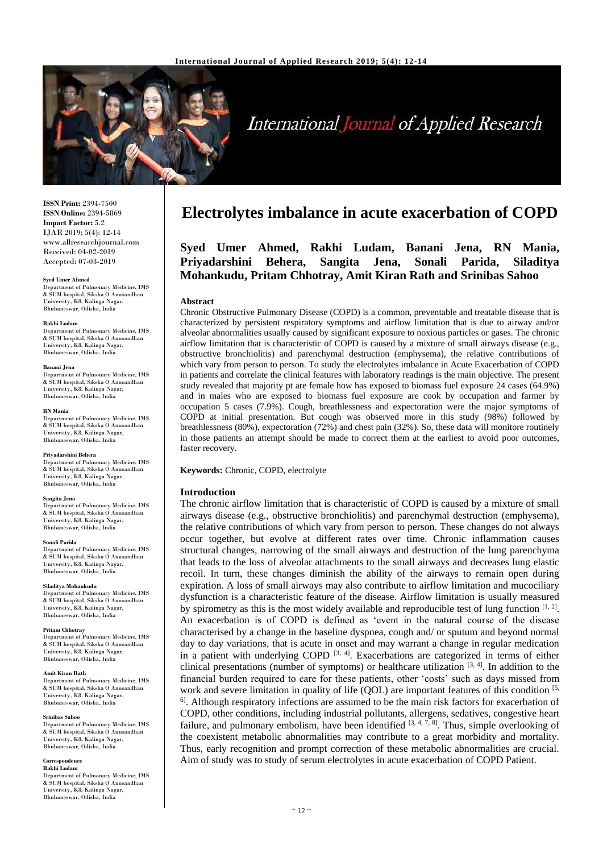

# **International Journal of Applied Research**

**ISSN Print:** 2394-7500 **ISSN Online:** 2394-5869 **Impact Factor:** 5.2 IJAR 2019; 5(4): 12-14 www.allresearchjournal.com Received: 04-02-2019 Accepted: 07-03-2019

### **Syed Umer Ahmed**

Department of Pulmonary Medicine, IMS & SUM hospital, Siksha O Anusandhan University, K8, Kalinga Nagar, Bhubaneswar, Odisha, India

### **Rakhi Ludam**

Department of Pulmonary Medicine, IMS & SUM hospital, Siksha O Anusandhan University, K8, Kalinga Nagar, Bhubaneswar, Odisha, India

### **Banani Jena**

Department of Pulmonary Medicine, IMS & SUM hospital, Siksha O Anusandhan University, K8, Kalinga Nagar, Bhubaneswar, Odisha, India

#### **RN Mania**

Department of Pulmonary Medicine, IMS & SUM hospital, Siksha O Anusandhan University, K8, Kalinga Nagar, Bhubaneswar, Odisha, India

### **Priyadarshini Behera**

Department of Pulmonary Medicine, IMS & SUM hospital, Siksha O Anusandhan University, K8, Kalinga Nagar, Bhubaneswar, Odisha, India

### **Sangita Jena**

Department of Pulmonary Medicine, IMS & SUM hospital, Siksha O Anusandhan University, K8, Kalinga Nagar, Bhubaneswar, Odisha, India

### **Sonali Parida**

Department of Pulmonary Medicine, IMS & SUM hospital, Siksha O Anusandhan University, K8, Kalinga Nagar, Bhubaneswar, Odisha, India

### **Siladitya Mohankudu**

Department of Pulmonary Medicine, IMS & SUM hospital, Siksha O Anusandhan University, K8, Kalinga Nagar, Bhubaneswar, Odisha, India

### **Pritam Chhotray**

Department of Pulmonary Medicine, IMS & SUM hospital, Siksha O Anusandhan University, K8, Kalinga Nagar, Bhubaneswar, Odisha, India

### **Amit Kiran Rath**

Department of Pulmonary Medicine, IMS & SUM hospital, Siksha O Anusandhan University, K8, Kalinga Nagar, Bhubaneswar, Odisha, India

### **Srinibas Sahoo**

Department of Pulmonary Medicine, IMS & SUM hospital, Siksha O Anusandhan University, K8, Kalinga Nagar, Bhubaneswar, Odisha, India

### **Correspondence Rakhi Ludam**

Department of Pulmonary Medicine, IMS & SUM hospital, Siksha O Anusandhan University, K8, Kalinga Nagar, Bhubaneswar, Odisha, India

## **Electrolytes imbalance in acute exacerbation of COPD**

## **Syed Umer Ahmed, Rakhi Ludam, Banani Jena, RN Mania, Priyadarshini Behera, Sangita Jena, Sonali Parida, Siladitya Mohankudu, Pritam Chhotray, Amit Kiran Rath and Srinibas Sahoo**

### **Abstract**

Chronic Obstructive Pulmonary Disease (COPD) is a common, preventable and treatable disease that is characterized by persistent respiratory symptoms and airflow limitation that is due to airway and/or alveolar abnormalities usually caused by significant exposure to noxious particles or gases. The chronic airflow limitation that is characteristic of COPD is caused by a mixture of small airways disease (e.g., obstructive bronchiolitis) and parenchymal destruction (emphysema), the relative contributions of which vary from person to person. To study the electrolytes imbalance in Acute Exacerbation of COPD in patients and correlate the clinical features with laboratory readings is the main objective. The present study revealed that majority pt are female how has exposed to biomass fuel exposure 24 cases (64.9%) and in males who are exposed to biomass fuel exposure are cook by occupation and farmer by occupation 5 cases (7.9%). Cough, breathlessness and expectoration were the major symptoms of COPD at initial presentation. But cough was observed more in this study (98%) followed by breathlessness (80%), expectoration (72%) and chest pain (32%). So, these data will monitore routinely in those patients an attempt should be made to correct them at the earliest to avoid poor outcomes, faster recovery.

### **Keywords:** Chronic, COPD, electrolyte

### **Introduction**

The chronic airflow limitation that is characteristic of COPD is caused by a mixture of small airways disease (e.g., obstructive bronchiolitis) and parenchymal destruction (emphysema), the relative contributions of which vary from person to person. These changes do not always occur together, but evolve at different rates over time. Chronic inflammation causes structural changes, narrowing of the small airways and destruction of the lung parenchyma that leads to the loss of alveolar attachments to the small airways and decreases lung elastic recoil. In turn, these changes diminish the ability of the airways to remain open during expiration. A loss of small airways may also contribute to airflow limitation and mucociliary dysfunction is a characteristic feature of the disease. Airflow limitation is usually measured by spirometry as this is the most widely available and reproducible test of lung function  $[1, 2]$ . An exacerbation is of COPD is defined as 'event in the natural course of the disease characterised by a change in the baseline dyspnea, cough and/ or sputum and beyond normal day to day variations, that is acute in onset and may warrant a change in regular medication in a patient with underlying COPD  $[3, 4]$ . Exacerbations are categorized in terms of either clinical presentations (number of symptoms) or healthcare utilization [3, 4]. In addition to the financial burden required to care for these patients, other 'costs' such as days missed from work and severe limitation in quality of life  $(QOL)$  are important features of this condition  $[5, 1]$ <sup>6]</sup>. Although respiratory infections are assumed to be the main risk factors for exacerbation of COPD, other conditions, including industrial pollutants, allergens, sedatives, congestive heart failure, and pulmonary embolism, have been identified  $[3, 4, 7, 8]$ . Thus, simple overlooking of the coexistent metabolic abnormalities may contribute to a great morbidity and mortality. Thus, early recognition and prompt correction of these metabolic abnormalities are crucial. Aim of study was to study of serum electrolytes in acute exacerbation of COPD Patient.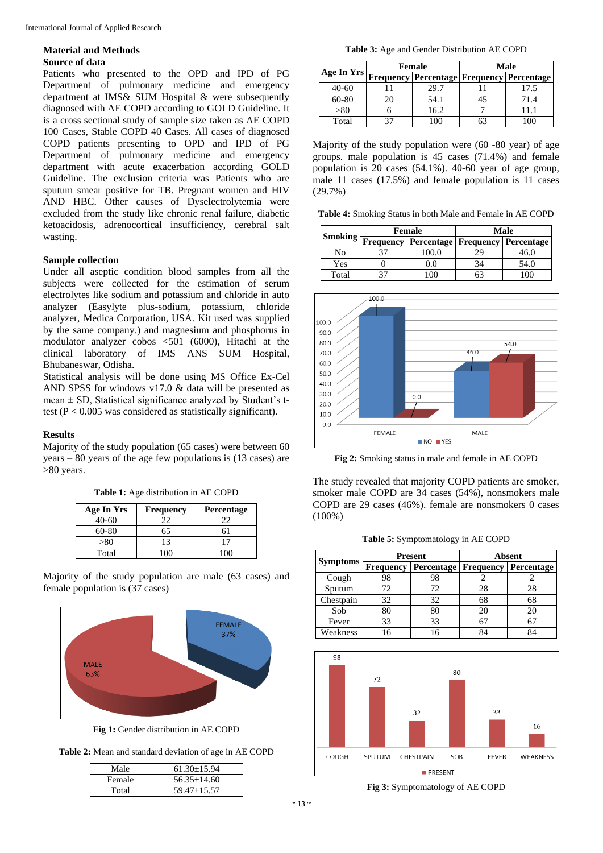## **Material and Methods Source of data**

Patients who presented to the OPD and IPD of PG Department of pulmonary medicine and emergency department at IMS& SUM Hospital & were subsequently diagnosed with AE COPD according to GOLD Guideline. It is a cross sectional study of sample size taken as AE COPD 100 Cases, Stable COPD 40 Cases. All cases of diagnosed COPD patients presenting to OPD and IPD of PG Department of pulmonary medicine and emergency department with acute exacerbation according GOLD Guideline. The exclusion criteria was Patients who are sputum smear positive for TB. Pregnant women and HIV AND HBC. Other causes of Dyselectrolytemia were excluded from the study like chronic renal failure, diabetic ketoacidosis, adrenocortical insufficiency, cerebral salt wasting.

## **Sample collection**

Under all aseptic condition blood samples from all the subjects were collected for the estimation of serum electrolytes like sodium and potassium and chloride in auto analyzer (Easylyte plus-sodium, potassium, chloride analyzer, Medica Corporation, USA. Kit used was supplied by the same company.) and magnesium and phosphorus in modulator analyzer cobos <501 (6000), Hitachi at the clinical laboratory of IMS ANS SUM Hospital, Bhubaneswar, Odisha.

Statistical analysis will be done using MS Office Ex-Cel AND SPSS for windows v17.0 & data will be presented as mean  $\pm$  SD, Statistical significance analyzed by Student's ttest ( $P < 0.005$  was considered as statistically significant).

## **Results**

Majority of the study population (65 cases) were between 60 years – 80 years of the age few populations is (13 cases) are >80 years.

| Age In Yrs | <b>Frequency</b> | <b>Percentage</b> |
|------------|------------------|-------------------|
| $40-60$    | 22               | つつ                |
| 60-80      | 55               | 61                |
| > 80       | 13               |                   |
| Total      |                  |                   |

**Table 1:** Age distribution in AE COPD

Majority of the study population are male (63 cases) and female population is (37 cases)



**Fig 1:** Gender distribution in AE COPD

| Table 2: Mean and standard deviation of age in AE COPD |  |
|--------------------------------------------------------|--|
|--------------------------------------------------------|--|

| Male   | $61.30 + 15.94$ |
|--------|-----------------|
| Female | $56.35 + 14.60$ |
| Total  | $59.47 + 15.57$ |

**Table 3:** Age and Gender Distribution AE COPD

| Age In Yrs | <b>Female</b> |                                                  | Male |      |
|------------|---------------|--------------------------------------------------|------|------|
|            |               | <b>Frequency Percentage Frequency Percentage</b> |      |      |
| $40 - 60$  |               | 29.7                                             |      | 17.5 |
| 60-80      |               | 54.1                                             | 45   |      |
| >80        |               | 16.2                                             |      |      |
| Total      | 27            |                                                  | 63   |      |

Majority of the study population were (60 -80 year) of age groups. male population is 45 cases (71.4%) and female population is 20 cases (54.1%). 40-60 year of age group, male 11 cases (17.5%) and female population is 11 cases (29.7%)

**Table 4:** Smoking Status in both Male and Female in AE COPD

| Smoking- | Female |                                                        | Male |      |
|----------|--------|--------------------------------------------------------|------|------|
|          |        | <b>Frequency   Percentage   Frequency   Percentage</b> |      |      |
| No       |        | 100.0                                                  | 29   | 46.0 |
| Yes      |        | 0.0                                                    |      | 54.0 |
| Total    |        |                                                        |      |      |



**Fig 2:** Smoking status in male and female in AE COPD

The study revealed that majority COPD patients are smoker, smoker male COPD are 34 cases (54%), nonsmokers male COPD are 29 cases (46%). female are nonsmokers 0 cases (100%)

**Table 5:** Symptomatology in AE COPD

| <b>Symptoms</b> | Present          |                                     | <b>Absent</b> |    |
|-----------------|------------------|-------------------------------------|---------------|----|
|                 | <b>Frequency</b> | Percentage   Frequency   Percentage |               |    |
| Cough           | 98               | 98                                  |               |    |
| Sputum          | 72.              | 72                                  | 28            | 28 |
| Chestpain       | 32               | 32                                  | 68            | 68 |
| Sob             | 80               | 80                                  | 20            |    |
| Fever           | 33               | 33                                  | 67            |    |
| Weakness        |                  |                                     | RΔ            |    |



**Fig 3:** Symptomatology of AE COPD